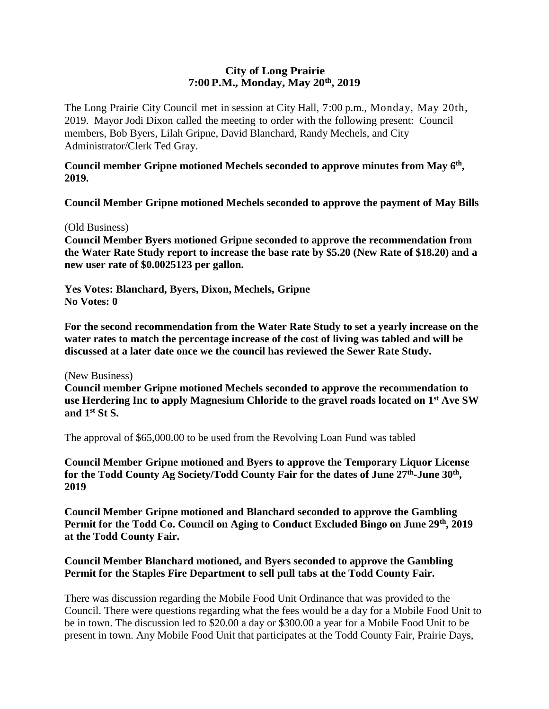### **City of Long Prairie 7:00P.M., Monday, May 20th, 2019**

The Long Prairie City Council met in session at City Hall, 7:00 p.m., Monday, May 20th, 2019. Mayor Jodi Dixon called the meeting to order with the following present: Council members, Bob Byers, Lilah Gripne, David Blanchard, Randy Mechels, and City Administrator/Clerk Ted Gray.

#### **Council member Gripne motioned Mechels seconded to approve minutes from May 6th , 2019.**

**Council Member Gripne motioned Mechels seconded to approve the payment of May Bills**

#### (Old Business)

**Council Member Byers motioned Gripne seconded to approve the recommendation from the Water Rate Study report to increase the base rate by \$5.20 (New Rate of \$18.20) and a new user rate of \$0.0025123 per gallon.** 

**Yes Votes: Blanchard, Byers, Dixon, Mechels, Gripne No Votes: 0**

**For the second recommendation from the Water Rate Study to set a yearly increase on the water rates to match the percentage increase of the cost of living was tabled and will be discussed at a later date once we the council has reviewed the Sewer Rate Study.** 

(New Business)

**Council member Gripne motioned Mechels seconded to approve the recommendation to use Herdering Inc to apply Magnesium Chloride to the gravel roads located on 1st Ave SW and 1st St S.** 

The approval of \$65,000.00 to be used from the Revolving Loan Fund was tabled

**Council Member Gripne motioned and Byers to approve the Temporary Liquor License**  for the Todd County Ag Society/Todd County Fair for the dates of June 27<sup>th</sup>-June 30<sup>th</sup>, **2019** 

**Council Member Gripne motioned and Blanchard seconded to approve the Gambling Permit for the Todd Co. Council on Aging to Conduct Excluded Bingo on June 29th, 2019 at the Todd County Fair.** 

# **Council Member Blanchard motioned, and Byers seconded to approve the Gambling Permit for the Staples Fire Department to sell pull tabs at the Todd County Fair.**

There was discussion regarding the Mobile Food Unit Ordinance that was provided to the Council. There were questions regarding what the fees would be a day for a Mobile Food Unit to be in town. The discussion led to \$20.00 a day or \$300.00 a year for a Mobile Food Unit to be present in town. Any Mobile Food Unit that participates at the Todd County Fair, Prairie Days,